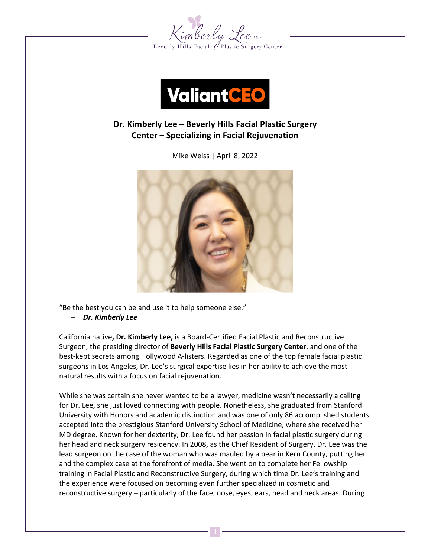



# **Dr. Kimberly Lee – Beverly Hills Facial Plastic Surgery Center – Specializing in Facial Rejuvenation**

Mike Weiss | April 8, 2022



"Be the best you can be and use it to help someone else." – *Dr. Kimberly Lee*

California native**, Dr. Kimberly Lee,** is a Board-Certified Facial Plastic and Reconstructive Surgeon, the presiding director of **Beverly Hills Facial Plastic Surgery Center**, and one of the best-kept secrets among Hollywood A-listers. Regarded as one of the top female facial plastic surgeons in Los Angeles, Dr. Lee's surgical expertise lies in her ability to achieve the most natural results with a focus on facial rejuvenation.

While she was certain she never wanted to be a lawyer, medicine wasn't necessarily a calling for Dr. Lee, she just loved connecting with people. Nonetheless, she graduated from Stanford University with Honors and academic distinction and was one of only 86 accomplished students accepted into the prestigious Stanford University School of Medicine, where she received her MD degree. Known for her dexterity, Dr. Lee found her passion in facial plastic surgery during her head and neck surgery residency. In 2008, as the Chief Resident of Surgery, Dr. Lee was the lead surgeon on the case of the woman who was mauled by a bear in Kern County, putting her and the complex case at the forefront of media. She went on to complete her Fellowship training in Facial Plastic and Reconstructive Surgery, during which time Dr. Lee's training and the experience were focused on becoming even further specialized in cosmetic and reconstructive surgery – particularly of the face, nose, eyes, ears, head and neck areas. During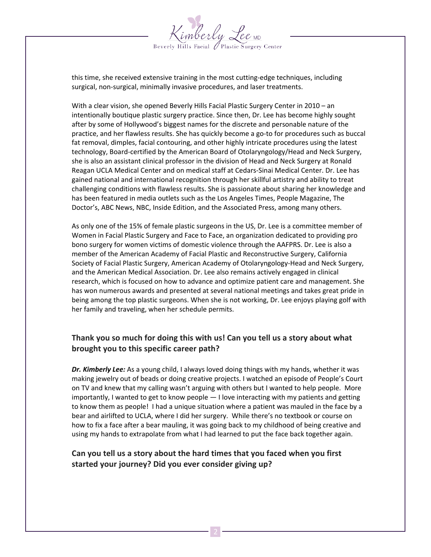

this time, she received extensive training in the most cutting-edge techniques, including surgical, non-surgical, minimally invasive procedures, and laser treatments.

With a clear vision, she opened Beverly Hills Facial Plastic Surgery Center in 2010 – an intentionally boutique plastic surgery practice. Since then, Dr. Lee has become highly sought after by some of Hollywood's biggest names for the discrete and personable nature of the practice, and her flawless results. She has quickly become a go-to for procedures such as buccal fat removal, dimples, facial contouring, and other highly intricate procedures using the latest technology, Board-certified by the American Board of Otolaryngology/Head and Neck Surgery, she is also an assistant clinical professor in the division of Head and Neck Surgery at Ronald Reagan UCLA Medical Center and on medical staff at Cedars-Sinai Medical Center. Dr. Lee has gained national and international recognition through her skillful artistry and ability to treat challenging conditions with flawless results. She is passionate about sharing her knowledge and has been featured in media outlets such as the Los Angeles Times, People Magazine, The Doctor's, ABC News, NBC, Inside Edition, and the Associated Press, among many others.

As only one of the 15% of female plastic surgeons in the US, Dr. Lee is a committee member of Women in Facial Plastic Surgery and Face to Face, an organization dedicated to providing pro bono surgery for women victims of domestic violence through the AAFPRS. Dr. Lee is also a member of the American Academy of Facial Plastic and Reconstructive Surgery, California Society of Facial Plastic Surgery, American Academy of Otolaryngology-Head and Neck Surgery, and the American Medical Association. Dr. Lee also remains actively engaged in clinical research, which is focused on how to advance and optimize patient care and management. She has won numerous awards and presented at several national meetings and takes great pride in being among the top plastic surgeons. When she is not working, Dr. Lee enjoys playing golf with her family and traveling, when her schedule permits.

## **Thank you so much for doing this with us! Can you tell us a story about what brought you to this specific career path?**

*Dr. Kimberly Lee:* As a young child, I always loved doing things with my hands, whether it was making jewelry out of beads or doing creative projects. I watched an episode of People's Court on TV and knew that my calling wasn't arguing with others but I wanted to help people. More importantly, I wanted to get to know people — I love interacting with my patients and getting to know them as people! I had a unique situation where a patient was mauled in the face by a bear and airlifted to UCLA, where I did her surgery. While there's no textbook or course on how to fix a face after a bear mauling, it was going back to my childhood of being creative and using my hands to extrapolate from what I had learned to put the face back together again.

#### **Can you tell us a story about the hard times that you faced when you first started your journey? Did you ever consider giving up?**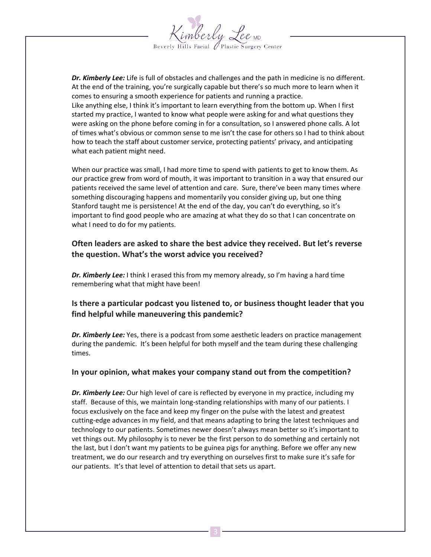

*Dr. Kimberly Lee:* Life is full of obstacles and challenges and the path in medicine is no different. At the end of the training, you're surgically capable but there's so much more to learn when it comes to ensuring a smooth experience for patients and running a practice. Like anything else, I think it's important to learn everything from the bottom up. When I first started my practice, I wanted to know what people were asking for and what questions they were asking on the phone before coming in for a consultation, so I answered phone calls. A lot of times what's obvious or common sense to me isn't the case for others so I had to think about how to teach the staff about customer service, protecting patients' privacy, and anticipating what each patient might need.

When our practice was small, I had more time to spend with patients to get to know them. As our practice grew from word of mouth, it was important to transition in a way that ensured our patients received the same level of attention and care. Sure, there've been many times where something discouraging happens and momentarily you consider giving up, but one thing Stanford taught me is persistence! At the end of the day, you can't do everything, so it's important to find good people who are amazing at what they do so that I can concentrate on what I need to do for my patients.

#### **Often leaders are asked to share the best advice they received. But let's reverse the question. What's the worst advice you received?**

*Dr. Kimberly Lee:* I think I erased this from my memory already, so I'm having a hard time remembering what that might have been!

## **Is there a particular podcast you listened to, or business thought leader that you find helpful while maneuvering this pandemic?**

*Dr. Kimberly Lee:* Yes, there is a podcast from some aesthetic leaders on practice management during the pandemic. It's been helpful for both myself and the team during these challenging times.

#### **In your opinion, what makes your company stand out from the competition?**

*Dr. Kimberly Lee:* Our high level of care is reflected by everyone in my practice, including my staff. Because of this, we maintain long-standing relationships with many of our patients. I focus exclusively on the face and keep my finger on the pulse with the latest and greatest cutting-edge advances in my field, and that means adapting to bring the latest techniques and technology to our patients. Sometimes newer doesn't always mean better so it's important to vet things out. My philosophy is to never be the first person to do something and certainly not the last, but I don't want my patients to be guinea pigs for anything. Before we offer any new treatment, we do our research and try everything on ourselves first to make sure it's safe for our patients. It's that level of attention to detail that sets us apart.